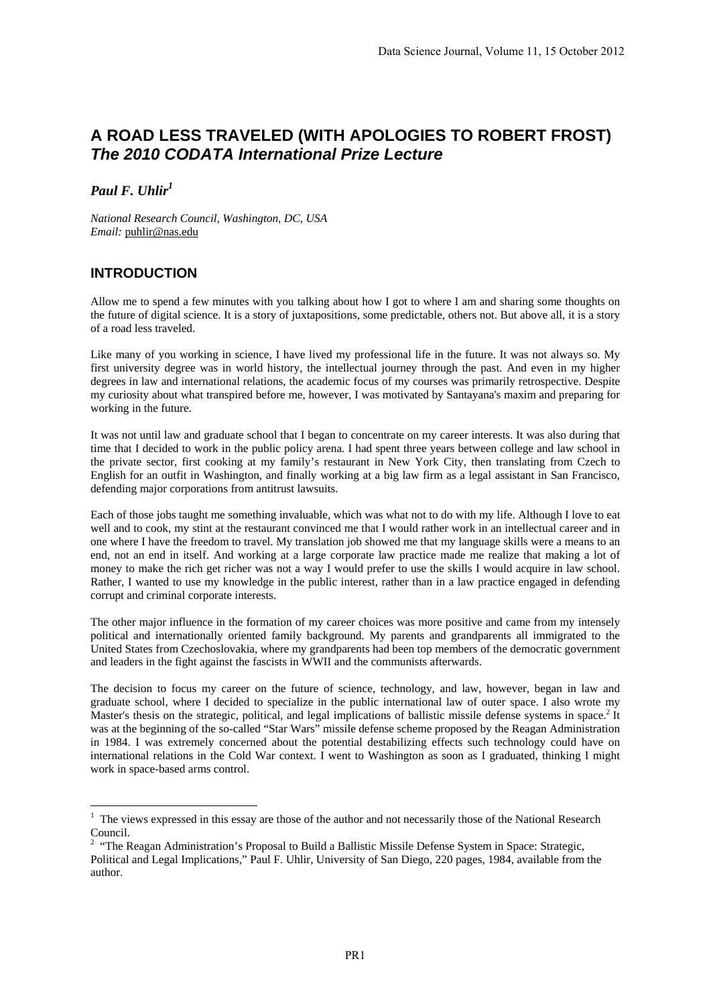## **A ROAD LESS TRAVELED (WITH APOLOGIES TO ROBERT FROST)**  *The 2010 CODATA International Prize Lecture*

*Paul F. Uhlir1*

*National Research Council, Washington, DC, USA Email:* puhlir@nas.edu

## **INTRODUCTION**

Allow me to spend a few minutes with you talking about how I got to where I am and sharing some thoughts on the future of digital science. It is a story of juxtapositions, some predictable, others not. But above all, it is a story of a road less traveled.

Like many of you working in science, I have lived my professional life in the future. It was not always so. My first university degree was in world history, the intellectual journey through the past. And even in my higher degrees in law and international relations, the academic focus of my courses was primarily retrospective. Despite my curiosity about what transpired before me, however, I was motivated by Santayana's maxim and preparing for working in the future.

It was not until law and graduate school that I began to concentrate on my career interests. It was also during that time that I decided to work in the public policy arena. I had spent three years between college and law school in the private sector, first cooking at my family's restaurant in New York City, then translating from Czech to English for an outfit in Washington, and finally working at a big law firm as a legal assistant in San Francisco, defending major corporations from antitrust lawsuits.

Each of those jobs taught me something invaluable, which was what not to do with my life. Although I love to eat well and to cook, my stint at the restaurant convinced me that I would rather work in an intellectual career and in one where I have the freedom to travel. My translation job showed me that my language skills were a means to an end, not an end in itself. And working at a large corporate law practice made me realize that making a lot of money to make the rich get richer was not a way I would prefer to use the skills I would acquire in law school. Rather, I wanted to use my knowledge in the public interest, rather than in a law practice engaged in defending corrupt and criminal corporate interests.

The other major influence in the formation of my career choices was more positive and came from my intensely political and internationally oriented family background. My parents and grandparents all immigrated to the United States from Czechoslovakia, where my grandparents had been top members of the democratic government and leaders in the fight against the fascists in WWII and the communists afterwards.

The decision to focus my career on the future of science, technology, and law, however, began in law and graduate school, where I decided to specialize in the public international law of outer space. I also wrote my Master's thesis on the strategic, political, and legal implications of ballistic missile defense systems in space.<sup>2</sup> It was at the beginning of the so-called "Star Wars" missile defense scheme proposed by the Reagan Administration in 1984. I was extremely concerned about the potential destabilizing effects such technology could have on international relations in the Cold War context. I went to Washington as soon as I graduated, thinking I might work in space-based arms control.

<sup>&</sup>lt;sup>1</sup> The views expressed in this essay are those of the author and not necessarily those of the National Research Council.

<sup>2</sup> "The Reagan Administration's Proposal to Build a Ballistic Missile Defense System in Space: Strategic, Political and Legal Implications," Paul F. Uhlir, University of San Diego, 220 pages, 1984, available from the author.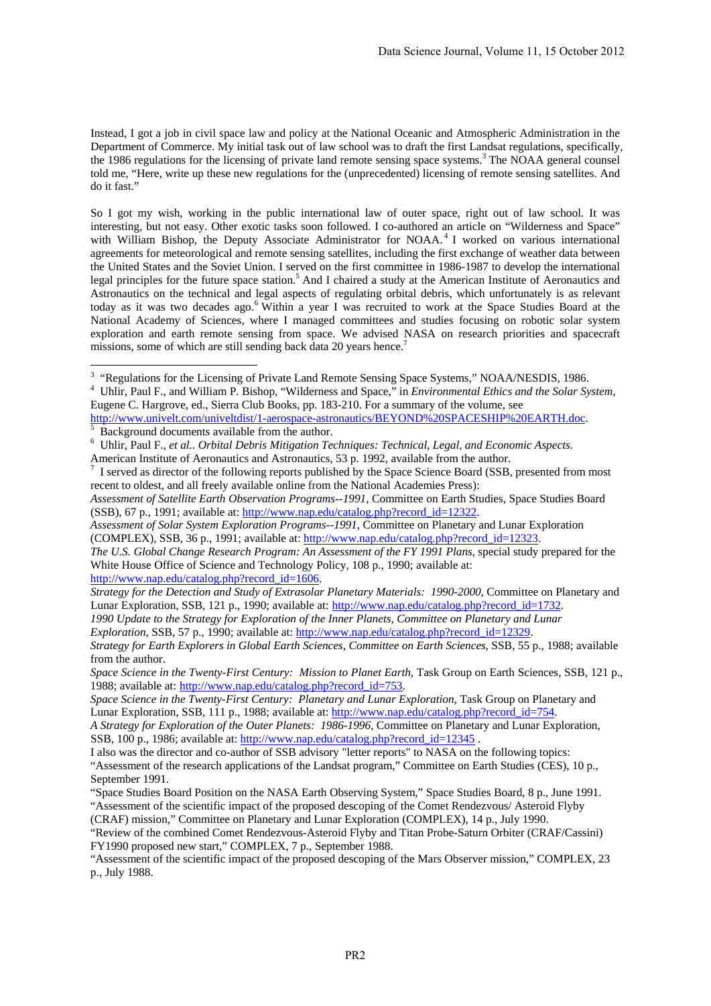Instead, I got a job in civil space law and policy at the National Oceanic and Atmospheric Administration in the Department of Commerce. My initial task out of law school was to draft the first Landsat regulations, specifically, the 1986 regulations for the licensing of private land remote sensing space systems.<sup>3</sup> The NOAA general counsel told me, "Here, write up these new regulations for the (unprecedented) licensing of remote sensing satellites. And do it fast."

So I got my wish, working in the public international law of outer space, right out of law school. It was interesting, but not easy. Other exotic tasks soon followed. I co-authored an article on "Wilderness and Space" with William Bishop, the Deputy Associate Administrator for NOAA.<sup>4</sup> I worked on various international agreements for meteorological and remote sensing satellites, including the first exchange of weather data between the United States and the Soviet Union. I served on the first committee in 1986-1987 to develop the international legal principles for the future space station.<sup>5</sup> And I chaired a study at the American Institute of Aeronautics and Astronautics on the technical and legal aspects of regulating orbital debris, which unfortunately is as relevant today as it was two decades ago.<sup>6</sup> Within a year I was recruited to work at the Space Studies Board at the National Academy of Sciences, where I managed committees and studies focusing on robotic solar system exploration and earth remote sensing from space. We advised NASA on research priorities and spacecraft missions, some of which are still sending back data 20 years hence.<sup>7</sup>

*Assessment of Satellite Earth Observation Programs--1991*, Committee on Earth Studies, Space Studies Board (SSB), 67 p., 1991; available at: http://www.nap.edu/catalog.php?record\_id=12322.

*1990 Update to the Strategy for Exploration of the Inner Planets, Committee on Planetary and Lunar Exploration*, SSB, 57 p., 1990; available at: http://www.nap.edu/catalog.php?record\_id=12329.

The Summary Sections for the Licensing of Private Land Remote Sensing Space Systems," NOAA/NESDIS, 1986.

<sup>4</sup> Uhlir, Paul F., and William P. Bishop, "Wilderness and Space," in *Environmental Ethics and the Solar System*, Eugene C. Hargrove, ed., Sierra Club Books, pp. 183-210. For a summary of the volume, see

http://www.univelt.com/univeltdist/1-aerospace-astronautics/BEYOND%20SPACESHIP%20EARTH.doc. Background documents available from the author.

<sup>6</sup> Uhlir, Paul F., *et al.*. *Orbital Debris Mitigation Techniques: Technical, Legal, and Economic Aspects*. American Institute of Aeronautics and Astronautics, 53 p. 1992, available from the author.

<sup>7</sup> I served as director of the following reports published by the Space Science Board (SSB, presented from most recent to oldest, and all freely available online from the National Academies Press):

*Assessment of Solar System Exploration Programs--1991*, Committee on Planetary and Lunar Exploration (COMPLEX), SSB, 36 p., 1991; available at: http://www.nap.edu/catalog.php?record\_id=12323.

*The U.S. Global Change Research Program: An Assessment of the FY 1991 Plans*, special study prepared for the White House Office of Science and Technology Policy, 108 p., 1990; available at: http://www.nap.edu/catalog.php?record\_id=1606.

*Strategy for the Detection and Study of Extrasolar Planetary Materials: 1990-2000*, Committee on Planetary and Lunar Exploration, SSB, 121 p., 1990; available at: http://www.nap.edu/catalog.php?record\_id=1732.

*Strategy for Earth Explorers in Global Earth Sciences, Committee on Earth Sciences*, SSB, 55 p., 1988; available from the author.

*Space Science in the Twenty-First Century: Mission to Planet Earth*, Task Group on Earth Sciences, SSB, 121 p., 1988; available at: http://www.nap.edu/catalog.php?record\_id=753.

*Space Science in the Twenty-First Century: Planetary and Lunar Exploration*, Task Group on Planetary and Lunar Exploration, SSB, 111 p., 1988; available at: http://www.nap.edu/catalog.php?record\_id=754.

*A Strategy for Exploration of the Outer Planets: 1986-1996*, Committee on Planetary and Lunar Exploration, SSB, 100 p., 1986; available at: http://www.nap.edu/catalog.php?record\_id=12345.

I also was the director and co-author of SSB advisory "letter reports" to NASA on the following topics: "Assessment of the research applications of the Landsat program," Committee on Earth Studies (CES), 10 p., September 1991.

<sup>&</sup>quot;Space Studies Board Position on the NASA Earth Observing System," Space Studies Board, 8 p., June 1991. "Assessment of the scientific impact of the proposed descoping of the Comet Rendezvous/ Asteroid Flyby

<sup>(</sup>CRAF) mission," Committee on Planetary and Lunar Exploration (COMPLEX), 14 p., July 1990.

<sup>&</sup>quot;Review of the combined Comet Rendezvous-Asteroid Flyby and Titan Probe-Saturn Orbiter (CRAF/Cassini) FY1990 proposed new start," COMPLEX, 7 p., September 1988.

<sup>&</sup>quot;Assessment of the scientific impact of the proposed descoping of the Mars Observer mission," COMPLEX, 23 p., July 1988.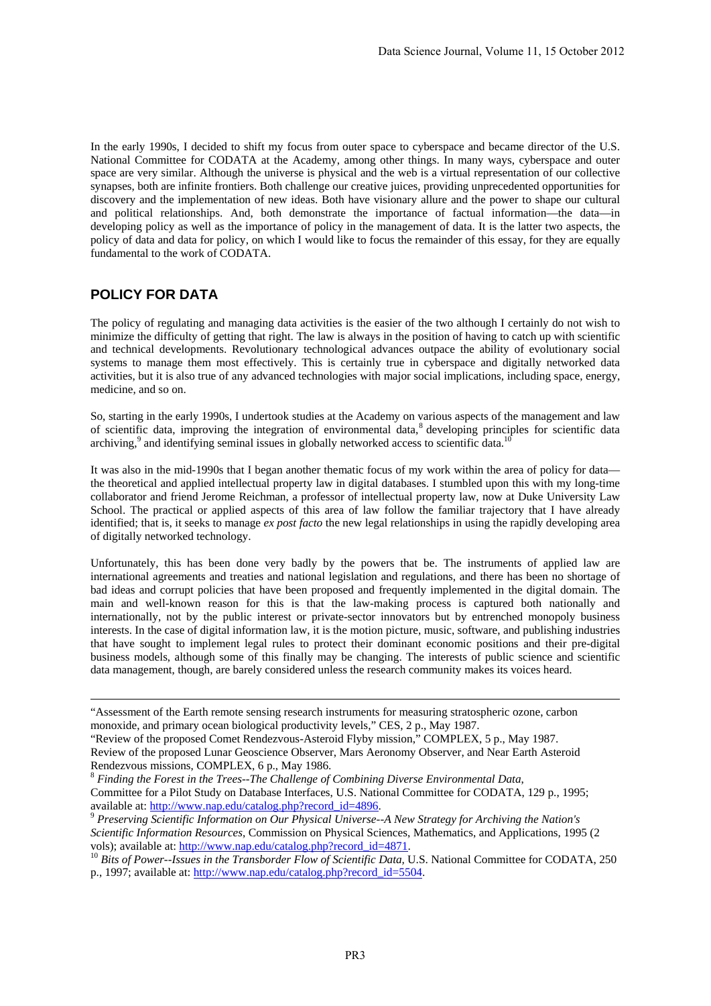In the early 1990s, I decided to shift my focus from outer space to cyberspace and became director of the U.S. National Committee for CODATA at the Academy, among other things. In many ways, cyberspace and outer space are very similar. Although the universe is physical and the web is a virtual representation of our collective synapses, both are infinite frontiers. Both challenge our creative juices, providing unprecedented opportunities for discovery and the implementation of new ideas. Both have visionary allure and the power to shape our cultural and political relationships. And, both demonstrate the importance of factual information—the data—in developing policy as well as the importance of policy in the management of data. It is the latter two aspects, the policy of data and data for policy, on which I would like to focus the remainder of this essay, for they are equally fundamental to the work of CODATA.

## **POLICY FOR DATA**

The policy of regulating and managing data activities is the easier of the two although I certainly do not wish to minimize the difficulty of getting that right. The law is always in the position of having to catch up with scientific and technical developments. Revolutionary technological advances outpace the ability of evolutionary social systems to manage them most effectively. This is certainly true in cyberspace and digitally networked data activities, but it is also true of any advanced technologies with major social implications, including space, energy, medicine, and so on.

So, starting in the early 1990s, I undertook studies at the Academy on various aspects of the management and law of scientific data, improving the integration of environmental data,<sup>8</sup> developing principles for scientific data archiving,<sup>9</sup> and identifying seminal issues in globally networked access to scientific data.<sup>10</sup>

It was also in the mid-1990s that I began another thematic focus of my work within the area of policy for data the theoretical and applied intellectual property law in digital databases. I stumbled upon this with my long-time collaborator and friend Jerome Reichman, a professor of intellectual property law, now at Duke University Law School. The practical or applied aspects of this area of law follow the familiar trajectory that I have already identified; that is, it seeks to manage *ex post facto* the new legal relationships in using the rapidly developing area of digitally networked technology.

Unfortunately, this has been done very badly by the powers that be. The instruments of applied law are international agreements and treaties and national legislation and regulations, and there has been no shortage of bad ideas and corrupt policies that have been proposed and frequently implemented in the digital domain. The main and well-known reason for this is that the law-making process is captured both nationally and internationally, not by the public interest or private-sector innovators but by entrenched monopoly business interests. In the case of digital information law, it is the motion picture, music, software, and publishing industries that have sought to implement legal rules to protect their dominant economic positions and their pre-digital business models, although some of this finally may be changing. The interests of public science and scientific data management, though, are barely considered unless the research community makes its voices heard.

- "Review of the proposed Comet Rendezvous-Asteroid Flyby mission," COMPLEX, 5 p., May 1987. Review of the proposed Lunar Geoscience Observer, Mars Aeronomy Observer, and Near Earth Asteroid Rendezvous missions, COMPLEX, 6 p., May 1986.
- <sup>8</sup> *Finding the Forest in the Trees--The Challenge of Combining Diverse Environmental Data*, Committee for a Pilot Study on Database Interfaces, U.S. National Committee for CODATA, 129 p., 1995;

 <sup>&</sup>quot;Assessment of the Earth remote sensing research instruments for measuring stratospheric ozone, carbon monoxide, and primary ocean biological productivity levels," CES, 2 p., May 1987.

available at: http://www.nap.edu/catalog.php?record\_id=4896.<br><sup>9</sup> *Preserving Scientific Information on Our Physical Universe--A New Strategy for Archiving the Nation's Scientific Information Resources*, Commission on Physical Sciences, Mathematics, and Applications, 1995 (2 vols); available at: http://www.nap.edu/catalog.php?record\_id=4871.<br><sup>10</sup> *Bits of Power--Issues in the Transborder Flow of Scientific Data*, U.S. National Committee for CODATA, 250

p., 1997; available at: http://www.nap.edu/catalog.php?record\_id=5504.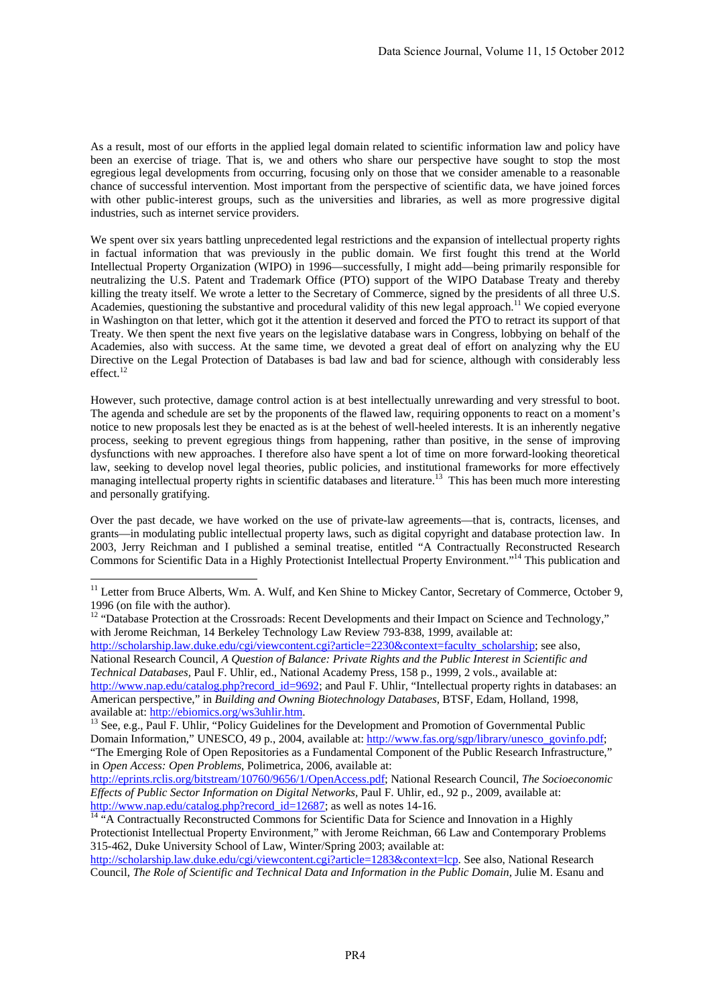As a result, most of our efforts in the applied legal domain related to scientific information law and policy have been an exercise of triage. That is, we and others who share our perspective have sought to stop the most egregious legal developments from occurring, focusing only on those that we consider amenable to a reasonable chance of successful intervention. Most important from the perspective of scientific data, we have joined forces with other public-interest groups, such as the universities and libraries, as well as more progressive digital industries, such as internet service providers.

We spent over six years battling unprecedented legal restrictions and the expansion of intellectual property rights in factual information that was previously in the public domain. We first fought this trend at the World Intellectual Property Organization (WIPO) in 1996—successfully, I might add—being primarily responsible for neutralizing the U.S. Patent and Trademark Office (PTO) support of the WIPO Database Treaty and thereby killing the treaty itself. We wrote a letter to the Secretary of Commerce, signed by the presidents of all three U.S. Academies, questioning the substantive and procedural validity of this new legal approach.<sup>11</sup> We copied everyone in Washington on that letter, which got it the attention it deserved and forced the PTO to retract its support of that Treaty. We then spent the next five years on the legislative database wars in Congress, lobbying on behalf of the Academies, also with success. At the same time, we devoted a great deal of effort on analyzing why the EU Directive on the Legal Protection of Databases is bad law and bad for science, although with considerably less effect.<sup>12</sup>

However, such protective, damage control action is at best intellectually unrewarding and very stressful to boot. The agenda and schedule are set by the proponents of the flawed law, requiring opponents to react on a moment's notice to new proposals lest they be enacted as is at the behest of well-heeled interests. It is an inherently negative process, seeking to prevent egregious things from happening, rather than positive, in the sense of improving dysfunctions with new approaches. I therefore also have spent a lot of time on more forward-looking theoretical law, seeking to develop novel legal theories, public policies, and institutional frameworks for more effectively managing intellectual property rights in scientific databases and literature.<sup>13</sup> This has been much more interesting and personally gratifying.

Over the past decade, we have worked on the use of private-law agreements—that is, contracts, licenses, and grants—in modulating public intellectual property laws, such as digital copyright and database protection law. In 2003, Jerry Reichman and I published a seminal treatise, entitled "A Contractually Reconstructed Research Commons for Scientific Data in a Highly Protectionist Intellectual Property Environment."14 This publication and

-

<sup>12</sup> "Database Protection at the Crossroads: Recent Developments and their Impact on Science and Technology," with Jerome Reichman, 14 Berkeley Technology Law Review 793-838, 1999, available at: http://scholarship.law.duke.edu/cgi/viewcontent.cgi?article=2230&context=faculty\_scholarship; see also, National Research Council, *A Question of Balance: Private Rights and the Public Interest in Scientific and Technical Databases,* Paul F. Uhlir, ed., National Academy Press, 158 p., 1999, 2 vols., available at: http://www.nap.edu/catalog.php?record\_id=9692; and Paul F. Uhlir, "Intellectual property rights in databases: an

American perspective," in *Building and Owning Biotechnology Databases*, BTSF, Edam, Holland, 1998, available at: http://ebiomics.org/ws3uhlir.htm.<br><sup>13</sup> See, e.g., Paul F. Uhlir, "Policy Guidelines for the Development and Promotion of Governmental Public

Domain Information," UNESCO, 49 p., 2004, available at: http://www.fas.org/sgp/library/unesco\_govinfo.pdf; "The Emerging Role of Open Repositories as a Fundamental Component of the Public Research Infrastructure," in *Open Access: Open Problems*, Polimetrica, 2006, available at:

http://eprints.rclis.org/bitstream/10760/9656/1/OpenAccess.pdf; National Research Council, *The Socioeconomic Effects of Public Sector Information on Digital Networks,* Paul F. Uhlir, ed., 92 p., 2009, available at: http://www.nap.edu/catalog.php?record\_id=12687; as well as notes 14-16. <sup>14</sup> "A Contractually Reconstructed Commons for Scientific Data for Science and Innovation in a Highly

<sup>&</sup>lt;sup>11</sup> Letter from Bruce Alberts, Wm. A. Wulf, and Ken Shine to Mickey Cantor, Secretary of Commerce, October 9, 1996 (on file with the author).

Protectionist Intellectual Property Environment," with Jerome Reichman, 66 Law and Contemporary Problems 315-462, Duke University School of Law, Winter/Spring 2003; available at:

http://scholarship.law.duke.edu/cgi/viewcontent.cgi?article=1283&context=lcp. See also, National Research Council, *The Role of Scientific and Technical Data and Information in the Public Domain,* Julie M. Esanu and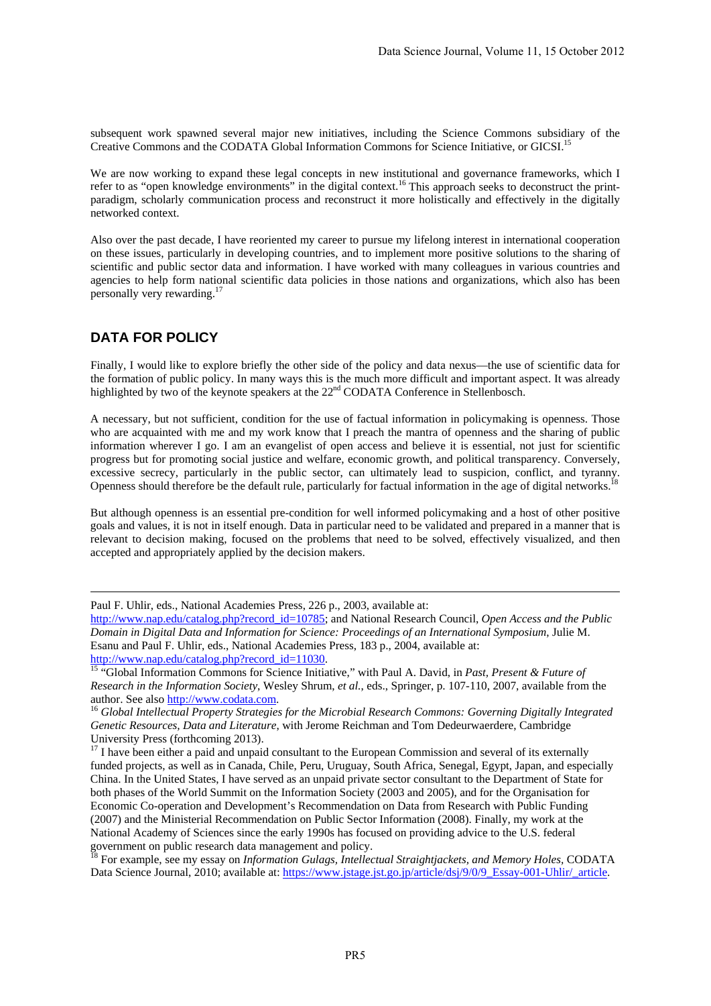subsequent work spawned several major new initiatives, including the Science Commons subsidiary of the Creative Commons and the CODATA Global Information Commons for Science Initiative, or GICSI.<sup>15</sup>

We are now working to expand these legal concepts in new institutional and governance frameworks, which I refer to as "open knowledge environments" in the digital context.<sup>16</sup> This approach seeks to deconstruct the printparadigm, scholarly communication process and reconstruct it more holistically and effectively in the digitally networked context.

Also over the past decade, I have reoriented my career to pursue my lifelong interest in international cooperation on these issues, particularly in developing countries, and to implement more positive solutions to the sharing of scientific and public sector data and information. I have worked with many colleagues in various countries and agencies to help form national scientific data policies in those nations and organizations, which also has been personally very rewarding.<sup>17</sup>

## **DATA FOR POLICY**

Finally, I would like to explore briefly the other side of the policy and data nexus—the use of scientific data for the formation of public policy. In many ways this is the much more difficult and important aspect. It was already highlighted by two of the keynote speakers at the 22<sup>nd</sup> CODATA Conference in Stellenbosch.

A necessary, but not sufficient, condition for the use of factual information in policymaking is openness. Those who are acquainted with me and my work know that I preach the mantra of openness and the sharing of public information wherever I go. I am an evangelist of open access and believe it is essential, not just for scientific progress but for promoting social justice and welfare, economic growth, and political transparency. Conversely, excessive secrecy, particularly in the public sector, can ultimately lead to suspicion, conflict, and tyranny. Openness should therefore be the default rule, particularly for factual information in the age of digital networks.18

But although openness is an essential pre-condition for well informed policymaking and a host of other positive goals and values, it is not in itself enough. Data in particular need to be validated and prepared in a manner that is relevant to decision making, focused on the problems that need to be solved, effectively visualized, and then accepted and appropriately applied by the decision makers.

18 For example, see my essay on *Information Gulags, Intellectual Straightjackets, and Memory Holes,* CODATA Data Science Journal, 2010; available at: https://www.jstage.jst.go.jp/article/dsj/9/0/9\_Essay-001-Uhlir/\_article.

Paul F. Uhlir, eds., National Academies Press, 226 p., 2003, available at:

http://www.nap.edu/catalog.php?record\_id=10785; and National Research Council, *Open Access and the Public Domain in Digital Data and Information for Science: Proceedings of an International Symposium*, Julie M. Esanu and Paul F. Uhlir, eds., National Academies Press, 183 p., 2004, available at:

http://www.nap.edu/catalog.php?record\_id=11030.<br><sup>15</sup> "Global Information Commons for Science Initiative," with Paul A. David, in *Past, Present & Future of Research in the Information Society*, Wesley Shrum, *et al.*, eds., Springer, p. 107-110, 2007, available from the

author. See also **http://www.codata.com.**<br><sup>16</sup> Global Intellectual Property Strategies for the Microbial Research Commons: Governing Digitally Integrated *Genetic Resources, Data and Literature*, with Jerome Reichman and Tom Dedeurwaerdere, Cambridge University Press (forthcoming 2013).

<sup>&</sup>lt;sup>17</sup> I have been either a paid and unpaid consultant to the European Commission and several of its externally funded projects, as well as in Canada, Chile, Peru, Uruguay, South Africa, Senegal, Egypt, Japan, and especially China. In the United States, I have served as an unpaid private sector consultant to the Department of State for both phases of the World Summit on the Information Society (2003 and 2005), and for the Organisation for Economic Co-operation and Development's Recommendation on Data from Research with Public Funding (2007) and the Ministerial Recommendation on Public Sector Information (2008). Finally, my work at the National Academy of Sciences since the early 1990s has focused on providing advice to the U.S. federal government on public research data management and policy.